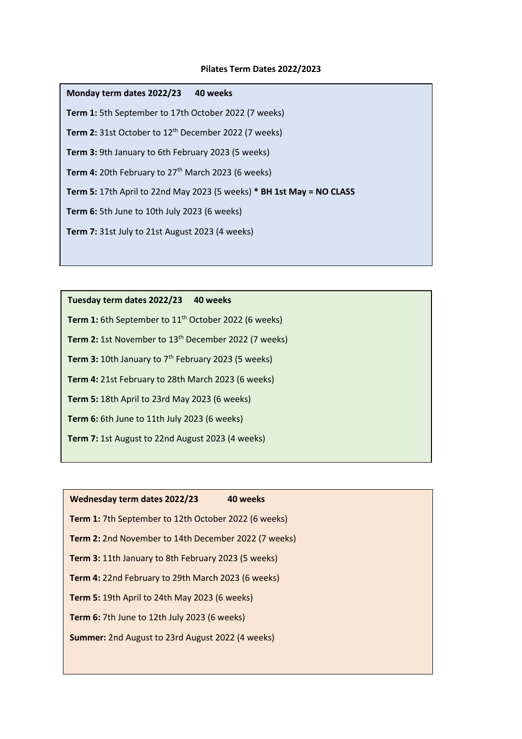## **Pilates Term Dates 2022/2023**

| Monday term dates 2022/23<br>40 weeks                                 |  |  |
|-----------------------------------------------------------------------|--|--|
| Term 1: 5th September to 17th October 2022 (7 weeks)                  |  |  |
| Term 2: 31st October to 12 <sup>th</sup> December 2022 (7 weeks)      |  |  |
| <b>Term 3:</b> 9th January to 6th February 2023 (5 weeks)             |  |  |
| <b>Term 4:</b> 20th February to $27th$ March 2023 (6 weeks)           |  |  |
| Term 5: 17th April to 22nd May 2023 (5 weeks) * BH 1st May = NO CLASS |  |  |
| <b>Term 6:</b> 5th June to 10th July 2023 (6 weeks)                   |  |  |
| Term 7: 31st July to 21st August 2023 (4 weeks)                       |  |  |
|                                                                       |  |  |

**Tuesday term dates 2022/23 40 weeks** Term 1: 6th September to 11<sup>th</sup> October 2022 (6 weeks) Term 2: 1st November to 13<sup>th</sup> December 2022 (7 weeks) **Term 3:** 10th January to 7<sup>th</sup> February 2023 (5 weeks) **Term 4:** 21st February to 28th March 2023 (6 weeks) **Term 5:** 18th April to 23rd May 2023 (6 weeks) **Term 6:** 6th June to 11th July 2023 (6 weeks) **Term 7:** 1st August to 22nd August 2023 (4 weeks)

| Wednesday term dates 2022/23                                | 40 weeks |  |
|-------------------------------------------------------------|----------|--|
| <b>Term 1:</b> 7th September to 12th October 2022 (6 weeks) |          |  |
| <b>Term 2:</b> 2nd November to 14th December 2022 (7 weeks) |          |  |
| <b>Term 3: 11th January to 8th February 2023 (5 weeks)</b>  |          |  |
| Term 4: 22nd February to 29th March 2023 (6 weeks)          |          |  |
| <b>Term 5: 19th April to 24th May 2023 (6 weeks)</b>        |          |  |
| <b>Term 6:</b> 7th June to 12th July 2023 (6 weeks)         |          |  |
| <b>Summer:</b> 2nd August to 23rd August 2022 (4 weeks)     |          |  |
|                                                             |          |  |